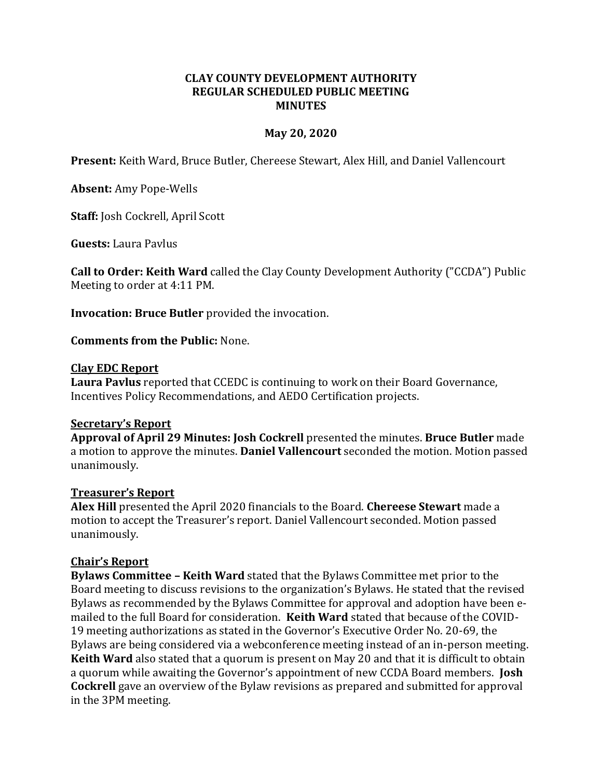#### **CLAY COUNTY DEVELOPMENT AUTHORITY REGULAR SCHEDULED PUBLIC MEETING MINUTES**

### **May 20, 2020**

**Present:** Keith Ward, Bruce Butler, Chereese Stewart, Alex Hill, and Daniel Vallencourt

**Absent:** Amy Pope-Wells

**Staff:** Josh Cockrell, April Scott

**Guests:** Laura Pavlus

**Call to Order: Keith Ward** called the Clay County Development Authority ("CCDA") Public Meeting to order at 4:11 PM.

**Invocation: Bruce Butler** provided the invocation.

**Comments from the Public:** None.

### **Clay EDC Report**

**Laura Pavlus** reported that CCEDC is continuing to work on their Board Governance, Incentives Policy Recommendations, and AEDO Certification projects.

### **Secretary's Report**

**Approval of April 29 Minutes: Josh Cockrell** presented the minutes. **Bruce Butler** made a motion to approve the minutes. **Daniel Vallencourt** seconded the motion. Motion passed unanimously.

### **Treasurer's Report**

**Alex Hill** presented the April 2020 financials to the Board. **Chereese Stewart** made a motion to accept the Treasurer's report. Daniel Vallencourt seconded. Motion passed unanimously.

# **Chair's Report**

**Bylaws Committee – Keith Ward** stated that the Bylaws Committee met prior to the Board meeting to discuss revisions to the organization's Bylaws. He stated that the revised Bylaws as recommended by the Bylaws Committee for approval and adoption have been emailed to the full Board for consideration. **Keith Ward** stated that because of the COVID-19 meeting authorizations as stated in the Governor's Executive Order No. 20-69, the Bylaws are being considered via a webconference meeting instead of an in-person meeting. **Keith Ward** also stated that a quorum is present on May 20 and that it is difficult to obtain a quorum while awaiting the Governor's appointment of new CCDA Board members. **Josh Cockrell** gave an overview of the Bylaw revisions as prepared and submitted for approval in the 3PM meeting.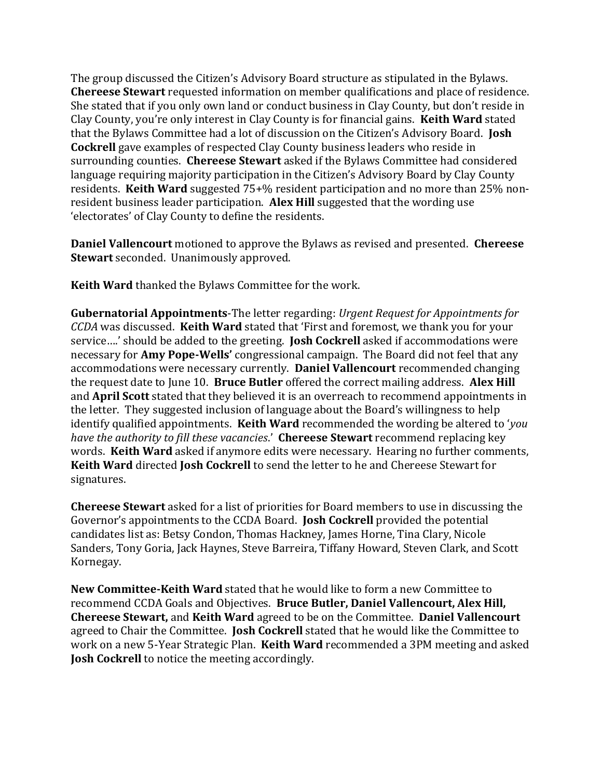The group discussed the Citizen's Advisory Board structure as stipulated in the Bylaws. **Chereese Stewart** requested information on member qualifications and place of residence. She stated that if you only own land or conduct business in Clay County, but don't reside in Clay County, you're only interest in Clay County is for financial gains. **Keith Ward** stated that the Bylaws Committee had a lot of discussion on the Citizen's Advisory Board. **Josh Cockrell** gave examples of respected Clay County business leaders who reside in surrounding counties. **Chereese Stewart** asked if the Bylaws Committee had considered language requiring majority participation in the Citizen's Advisory Board by Clay County residents. **Keith Ward** suggested 75+% resident participation and no more than 25% nonresident business leader participation. **Alex Hill** suggested that the wording use 'electorates' of Clay County to define the residents.

**Daniel Vallencourt** motioned to approve the Bylaws as revised and presented. **Chereese Stewart** seconded. Unanimously approved.

**Keith Ward** thanked the Bylaws Committee for the work.

**Gubernatorial Appointments**-The letter regarding: *Urgent Request for Appointments for CCDA* was discussed. **Keith Ward** stated that 'First and foremost, we thank you for your service….' should be added to the greeting. **Josh Cockrell** asked if accommodations were necessary for **Amy Pope-Wells'** congressional campaign. The Board did not feel that any accommodations were necessary currently. **Daniel Vallencourt** recommended changing the request date to June 10. **Bruce Butler** offered the correct mailing address. **Alex Hill**  and **April Scott** stated that they believed it is an overreach to recommend appointments in the letter. They suggested inclusion of language about the Board's willingness to help identify qualified appointments. **Keith Ward** recommended the wording be altered to '*you have the authority to fill these vacancies*.' **Chereese Stewart** recommend replacing key words. **Keith Ward** asked if anymore edits were necessary. Hearing no further comments, **Keith Ward** directed **Josh Cockrell** to send the letter to he and Chereese Stewart for signatures.

**Chereese Stewart** asked for a list of priorities for Board members to use in discussing the Governor's appointments to the CCDA Board. **Josh Cockrell** provided the potential candidates list as: Betsy Condon, Thomas Hackney, James Horne, Tina Clary, Nicole Sanders, Tony Goria, Jack Haynes, Steve Barreira, Tiffany Howard, Steven Clark, and Scott Kornegay.

**New Committee-Keith Ward** stated that he would like to form a new Committee to recommend CCDA Goals and Objectives. **Bruce Butler, Daniel Vallencourt, Alex Hill, Chereese Stewart,** and **Keith Ward** agreed to be on the Committee. **Daniel Vallencourt** agreed to Chair the Committee. **Josh Cockrell** stated that he would like the Committee to work on a new 5-Year Strategic Plan. **Keith Ward** recommended a 3PM meeting and asked **Josh Cockrell** to notice the meeting accordingly.